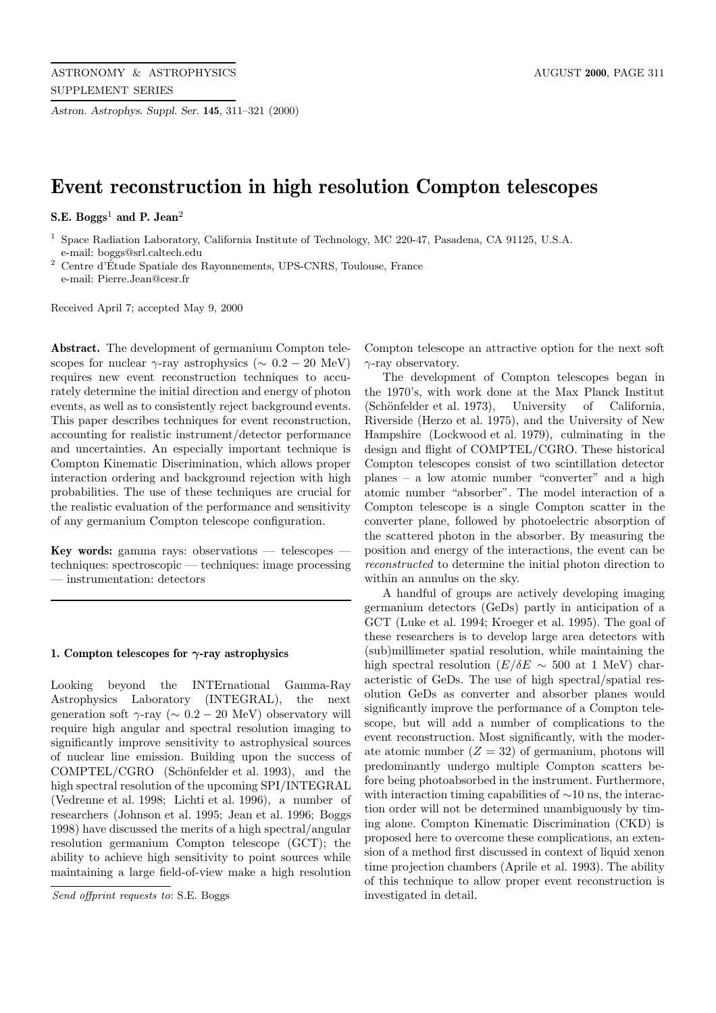*Astron. Astrophys. Suppl. Ser.* **145**, 311–321 (2000)

# **Event reconstruction in high resolution Compton telescopes**

**S.E. Boggs**<sup>1</sup> **and P. Jean**<sup>2</sup>

<sup>1</sup> Space Radiation Laboratory, California Institute of Technology, MC 220-47, Pasadena, CA 91125, U.S.A. e-mail: boggs@srl.caltech.edu

 $^2$  Centre d'Étude Spatiale des Rayonnements, UPS-CNRS, Toulouse, France e-mail: Pierre.Jean@cesr.fr

Received April 7; accepted May 9, 2000

**Abstract.** The development of germanium Compton telescopes for nuclear  $\gamma$ -ray astrophysics ( $\sim 0.2 - 20$  MeV) requires new event reconstruction techniques to accurately determine the initial direction and energy of photon events, as well as to consistently reject background events. This paper describes techniques for event reconstruction, accounting for realistic instrument/detector performance and uncertainties. An especially important technique is Compton Kinematic Discrimination, which allows proper interaction ordering and background rejection with high probabilities. The use of these techniques are crucial for the realistic evaluation of the performance and sensitivity of any germanium Compton telescope configuration.

**Key words:** gamma rays: observations — telescopes techniques: spectroscopic — techniques: image processing — instrumentation: detectors

## **1. Compton telescopes for** *γ***-ray astrophysics**

Looking beyond the INTErnational Gamma-Ray Astrophysics Laboratory (INTEGRAL), the next generation soft  $\gamma$ -ray ( $\sim 0.2 - 20$  MeV) observatory will require high angular and spectral resolution imaging to significantly improve sensitivity to astrophysical sources of nuclear line emission. Building upon the success of COMPTEL/CGRO (Schönfelder et al. 1993), and the high spectral resolution of the upcoming SPI/INTEGRAL (Vedrenne et al. 1998; Lichti et al. 1996), a number of researchers (Johnson et al. 1995; Jean et al. 1996; Boggs 1998) have discussed the merits of a high spectral/angular resolution germanium Compton telescope (GCT); the ability to achieve high sensitivity to point sources while maintaining a large field-of-view make a high resolution

Compton telescope an attractive option for the next soft  $\gamma$ -ray observatory.

The development of Compton telescopes began in the 1970's, with work done at the Max Planck Institut (Schönfelder et al. 1973), University of California, Riverside (Herzo et al. 1975), and the University of New Hampshire (Lockwood et al. 1979), culminating in the design and flight of COMPTEL/CGRO. These historical Compton telescopes consist of two scintillation detector planes – a low atomic number "converter" and a high atomic number "absorber". The model interaction of a Compton telescope is a single Compton scatter in the converter plane, followed by photoelectric absorption of the scattered photon in the absorber. By measuring the position and energy of the interactions, the event can be reconstructed to determine the initial photon direction to within an annulus on the sky.

A handful of groups are actively developing imaging germanium detectors (GeDs) partly in anticipation of a GCT (Luke et al. 1994; Kroeger et al. 1995). The goal of these researchers is to develop large area detectors with (sub)millimeter spatial resolution, while maintaining the high spectral resolution ( $E/\delta E \sim 500$  at 1 MeV) characteristic of GeDs. The use of high spectral/spatial resolution GeDs as converter and absorber planes would significantly improve the performance of a Compton telescope, but will add a number of complications to the event reconstruction. Most significantly, with the moderate atomic number  $(Z = 32)$  of germanium, photons will predominantly undergo multiple Compton scatters before being photoabsorbed in the instrument. Furthermore, with interaction timing capabilities of ∼10 ns, the interaction order will not be determined unambiguously by timing alone. Compton Kinematic Discrimination (CKD) is proposed here to overcome these complications, an extension of a method first discussed in context of liquid xenon time projection chambers (Aprile et al. 1993). The ability of this technique to allow proper event reconstruction is investigated in detail.

Send offprint requests to: S.E. Boggs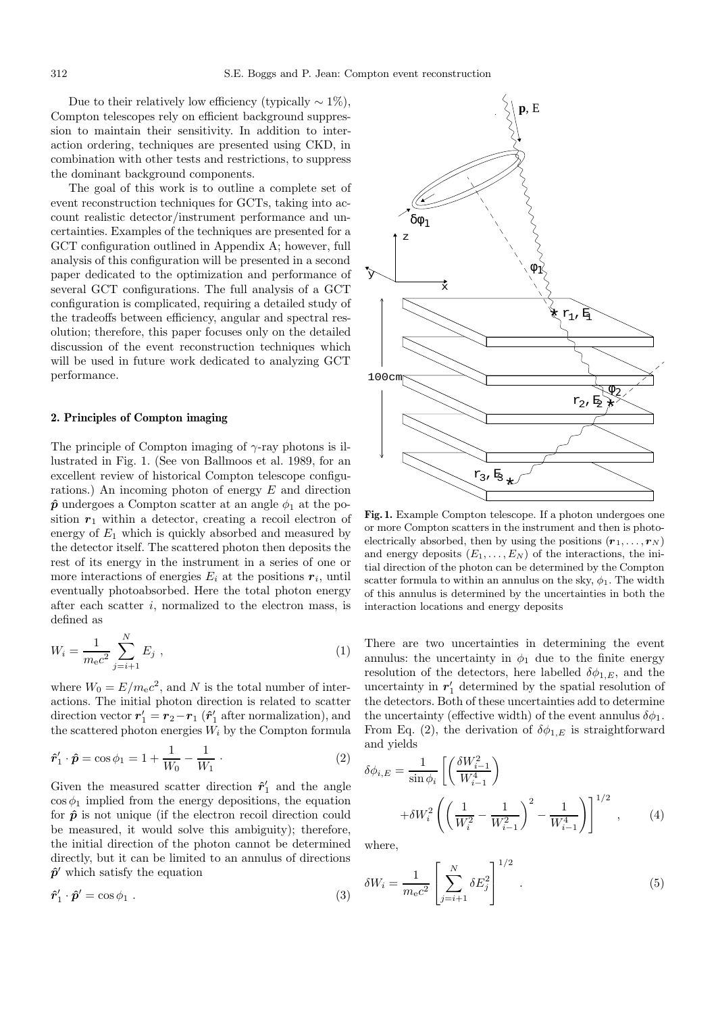Due to their relatively low efficiency (typically  $\sim 1\%$ ). Compton telescopes rely on efficient background suppression to maintain their sensitivity. In addition to interaction ordering, techniques are presented using CKD, in combination with other tests and restrictions, to suppress the dominant background components.

The goal of this work is to outline a complete set of event reconstruction techniques for GCTs, taking into account realistic detector/instrument performance and uncertainties. Examples of the techniques are presented for a GCT configuration outlined in Appendix A; however, full analysis of this configuration will be presented in a second paper dedicated to the optimization and performance of several GCT configurations. The full analysis of a GCT configuration is complicated, requiring a detailed study of the tradeoffs between efficiency, angular and spectral resolution; therefore, this paper focuses only on the detailed discussion of the event reconstruction techniques which will be used in future work dedicated to analyzing GCT performance.

#### **2. Principles of Compton imaging**

The principle of Compton imaging of  $\gamma$ -ray photons is illustrated in Fig. 1. (See von Ballmoos et al. 1989, for an excellent review of historical Compton telescope configurations.) An incoming photon of energy E and direction  $\hat{p}$  undergoes a Compton scatter at an angle  $\phi_1$  at the position  $r_1$  within a detector, creating a recoil electron of energy of  $E_1$  which is quickly absorbed and measured by the detector itself. The scattered photon then deposits the rest of its energy in the instrument in a series of one or more interactions of energies  $E_i$  at the positions  $r_i$ , until eventually photoabsorbed. Here the total photon energy after each scatter i, normalized to the electron mass, is defined as

$$
W_i = \frac{1}{m_e c^2} \sum_{j=i+1}^{N} E_j , \qquad (1)
$$

where  $W_0 = E/m_e c^2$ , and N is the total number of interactions. The initial photon direction is related to scatter direction vector  $r'_1 = r_2 - r_1$  ( $\hat{r}'_1$  after normalization), and the scattered photon energies  $W_i$  by the Compton formula

$$
\hat{\mathbf{r}}_1' \cdot \hat{\mathbf{p}} = \cos \phi_1 = 1 + \frac{1}{W_0} - \frac{1}{W_1} \,. \tag{2}
$$

Given the measured scatter direction  $\hat{r}'_1$  and the angle  $\cos \phi_1$  implied from the energy depositions, the equation for  $\hat{p}$  is not unique (if the electron recoil direction could be measured, it would solve this ambiguity); therefore, the initial direction of the photon cannot be determined directly, but it can be limited to an annulus of directions  $\hat{p}$ <sup> $\prime$ </sup> which satisfy the equation

$$
\hat{\mathbf{r}}_1' \cdot \hat{\mathbf{p}}' = \cos \phi_1 \ . \tag{3}
$$



Fig. 1. Example Compton telescope. If a photon undergoes one or more Compton scatters in the instrument and then is photoelectrically absorbed, then by using the positions  $(r_1, \ldots, r_N)$ and energy deposits  $(E_1, \ldots, E_N)$  of the interactions, the initial direction of the photon can be determined by the Compton scatter formula to within an annulus on the sky,  $\phi_1$ . The width of this annulus is determined by the uncertainties in both the interaction locations and energy deposits

There are two uncertainties in determining the event annulus: the uncertainty in  $\phi_1$  due to the finite energy resolution of the detectors, here labelled  $\delta\phi_{1,E}$ , and the uncertainty in  $r_1'$  determined by the spatial resolution of the detectors. Both of these uncertainties add to determine the uncertainty (effective width) of the event annulus  $\delta \phi_1$ . From Eq. (2), the derivation of  $\delta\phi_{1,E}$  is straightforward and yields

$$
\delta\phi_{i,E} = \frac{1}{\sin\phi_i} \left[ \left( \frac{\delta W_{i-1}^2}{W_{i-1}^4} \right) + \delta W_i^2 \left( \left( \frac{1}{W_i^2} - \frac{1}{W_{i-1}^2} \right)^2 - \frac{1}{W_{i-1}^4} \right) \right]^{1/2},
$$
\nwhere

\n(4)

where,

$$
\delta W_i = \frac{1}{m_e c^2} \left[ \sum_{j=i+1}^N \delta E_j^2 \right]^{1/2} .
$$
 (5)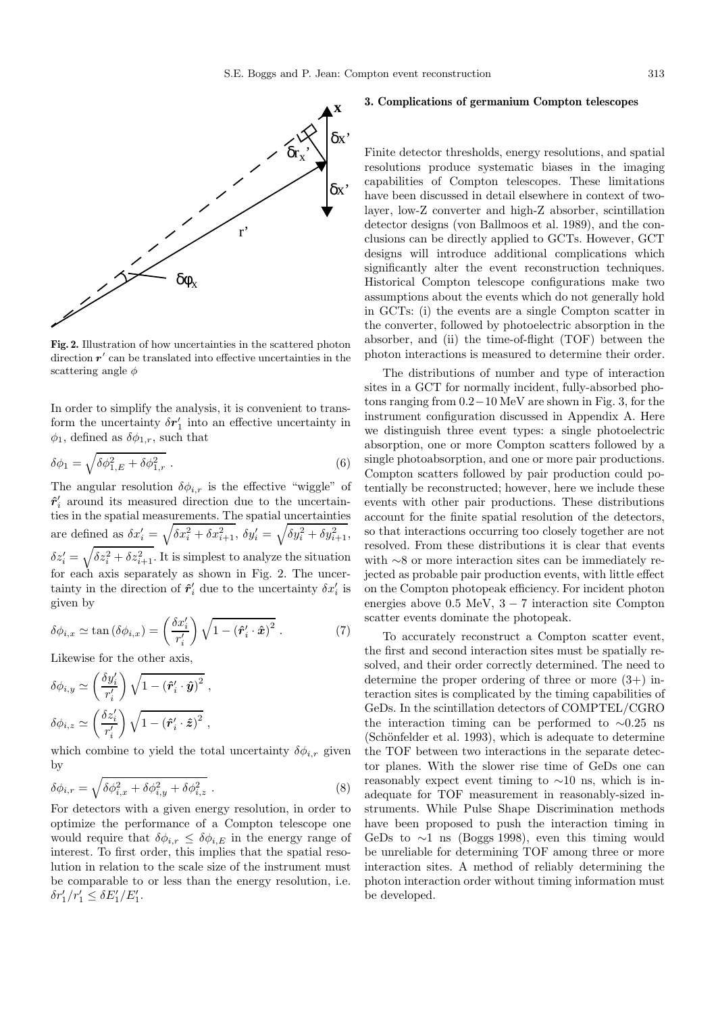

**Fig. 2.** Illustration of how uncertainties in the scattered photon direction  $r'$  can be translated into effective uncertainties in the scattering angle  $\phi$ 

In order to simplify the analysis, it is convenient to transform the uncertainty  $\delta r_1'$  into an effective uncertainty in  $\phi_1$ , defined as  $\delta\phi_{1,r}$ , such that

$$
\delta\phi_1 = \sqrt{\delta\phi_{1,E}^2 + \delta\phi_{1,r}^2} \tag{6}
$$

The angular resolution  $\delta \phi_{i,r}$  is the effective "wiggle" of  $\hat{\mathbf{r}}'$  around its measured direction due to the uncertainties in the spatial measurements. The spatial uncertainties are defined as  $\delta x_i' = \sqrt{\delta x_i^2 + \delta x_{i+1}^2}$ ,  $\delta y_i' = \sqrt{\delta y_i^2 + \delta y_{i+1}^2}$ ,  $\delta z_i' = \sqrt{\delta z_i^2 + \delta z_{i+1}^2}$ . It is simplest to analyze the situation for each axis separately as shown in Fig. 2. The uncertainty in the direction of  $\hat{\mathbf{r}}'$  due to the uncertainty  $\delta x'_{i}$  is given by

$$
\delta\phi_{i,x} \simeq \tan\left(\delta\phi_{i,x}\right) = \left(\frac{\delta x_i'}{r_i'}\right)\sqrt{1 - \left(\hat{\boldsymbol{r}}_i' \cdot \hat{\boldsymbol{x}}\right)^2} \ . \tag{7}
$$

Likewise for the other axis,

$$
\delta \phi_{i,y} \simeq \left(\frac{\delta y_i'}{r_i'}\right) \sqrt{1 - \left(\hat{\boldsymbol{r}}_i' \cdot \hat{\boldsymbol{y}}\right)^2} ,
$$

$$
\delta \phi_{i,z} \simeq \left(\frac{\delta z_i'}{r_i'}\right) \sqrt{1 - \left(\hat{\boldsymbol{r}}_i' \cdot \hat{\boldsymbol{z}}\right)^2} ,
$$

which combine to yield the total uncertainty  $\delta \phi_{i,r}$  given by

$$
\delta\phi_{i,r} = \sqrt{\delta\phi_{i,x}^2 + \delta\phi_{i,y}^2 + \delta\phi_{i,z}^2} \,. \tag{8}
$$

For detectors with a given energy resolution, in order to optimize the performance of a Compton telescope one would require that  $\delta \phi_{i,r} \leq \delta \phi_{i,E}$  in the energy range of interest. To first order, this implies that the spatial resolution in relation to the scale size of the instrument must be comparable to or less than the energy resolution, i.e.  $\delta r'_1/r'_1 \leq \delta E'_1/E'_1.$ 

# **3. Complications of germanium Compton telescopes**

Finite detector thresholds, energy resolutions, and spatial resolutions produce systematic biases in the imaging capabilities of Compton telescopes. These limitations have been discussed in detail elsewhere in context of twolayer, low-Z converter and high-Z absorber, scintillation detector designs (von Ballmoos et al. 1989), and the conclusions can be directly applied to GCTs. However, GCT designs will introduce additional complications which significantly alter the event reconstruction techniques. Historical Compton telescope configurations make two assumptions about the events which do not generally hold in GCTs: (i) the events are a single Compton scatter in the converter, followed by photoelectric absorption in the absorber, and (ii) the time-of-flight (TOF) between the photon interactions is measured to determine their order.

The distributions of number and type of interaction sites in a GCT for normally incident, fully-absorbed photons ranging from 0.2−10 MeV are shown in Fig. 3, for the instrument configuration discussed in Appendix A. Here we distinguish three event types: a single photoelectric absorption, one or more Compton scatters followed by a single photoabsorption, and one or more pair productions. Compton scatters followed by pair production could potentially be reconstructed; however, here we include these events with other pair productions. These distributions account for the finite spatial resolution of the detectors, so that interactions occurring too closely together are not resolved. From these distributions it is clear that events with ∼8 or more interaction sites can be immediately rejected as probable pair production events, with little effect on the Compton photopeak efficiency. For incident photon energies above 0.5 MeV, 3 − 7 interaction site Compton scatter events dominate the photopeak.

To accurately reconstruct a Compton scatter event, the first and second interaction sites must be spatially resolved, and their order correctly determined. The need to determine the proper ordering of three or more  $(3+)$  interaction sites is complicated by the timing capabilities of GeDs. In the scintillation detectors of COMPTEL/CGRO the interaction timing can be performed to ∼0.25 ns (Schönfelder et al. 1993), which is adequate to determine the TOF between two interactions in the separate detector planes. With the slower rise time of GeDs one can reasonably expect event timing to  $\sim$ 10 ns, which is inadequate for TOF measurement in reasonably-sized instruments. While Pulse Shape Discrimination methods have been proposed to push the interaction timing in GeDs to  $\sim$ 1 ns (Boggs 1998), even this timing would be unreliable for determining TOF among three or more interaction sites. A method of reliably determining the photon interaction order without timing information must be developed.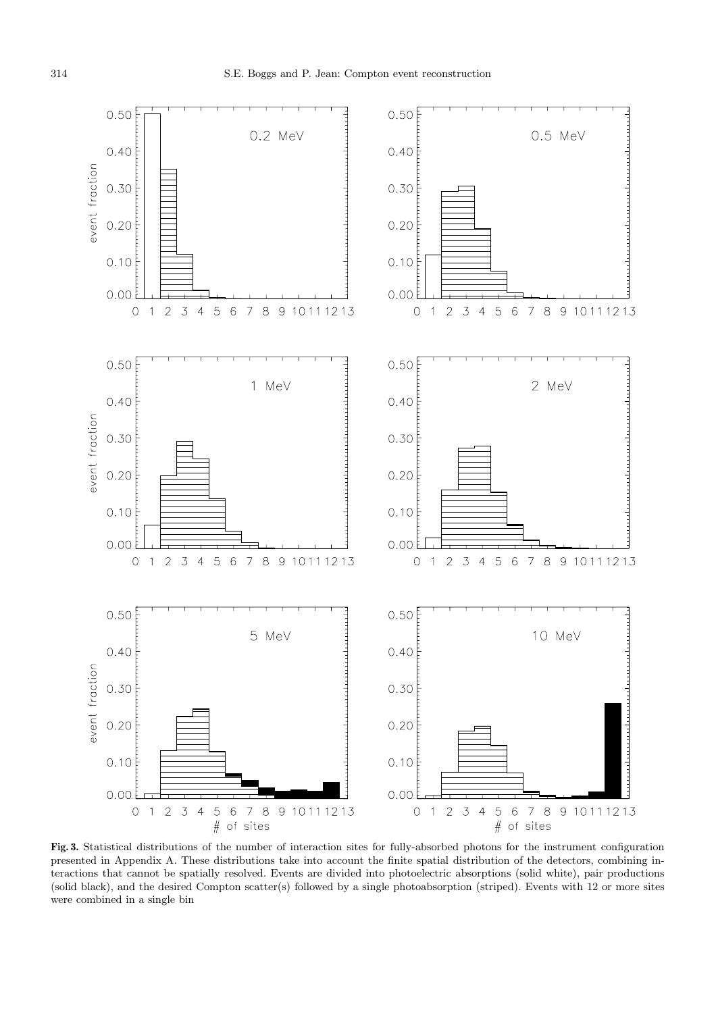

**Fig. 3.** Statistical distributions of the number of interaction sites for fully-absorbed photons for the instrument configuration presented in Appendix A. These distributions take into account the finite spatial distribution of the detectors, combining interactions that cannot be spatially resolved. Events are divided into photoelectric absorptions (solid white), pair productions (solid black), and the desired Compton scatter(s) followed by a single photoabsorption (striped). Events with 12 or more sites were combined in a single bin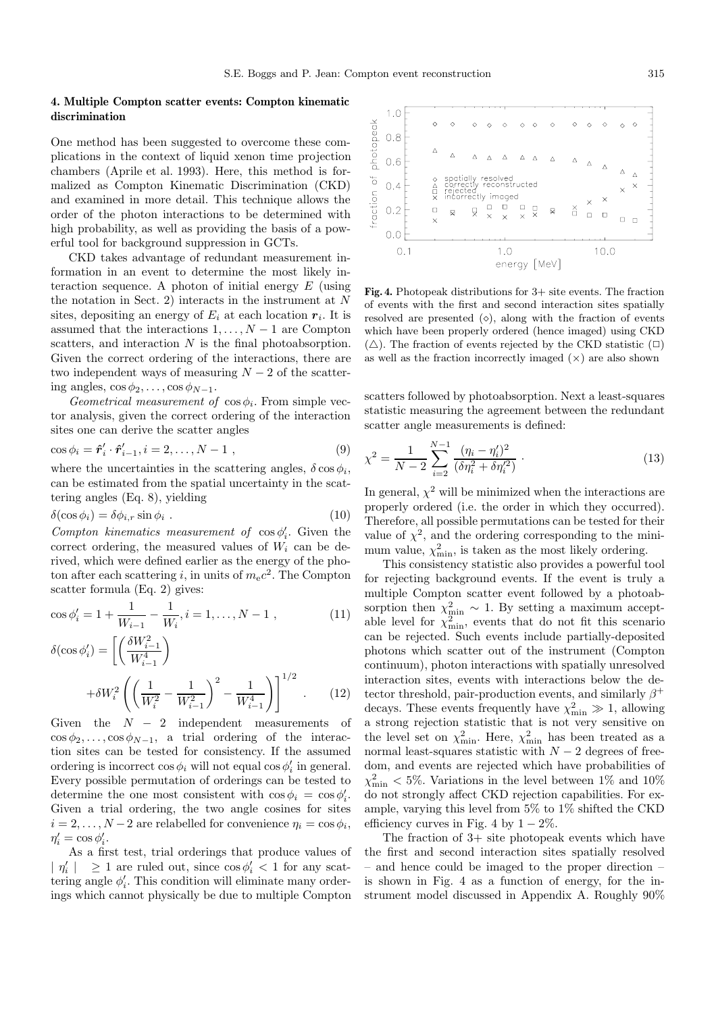# **4. Multiple Compton scatter events: Compton kinematic discrimination**

One method has been suggested to overcome these complications in the context of liquid xenon time projection chambers (Aprile et al. 1993). Here, this method is formalized as Compton Kinematic Discrimination (CKD) and examined in more detail. This technique allows the order of the photon interactions to be determined with high probability, as well as providing the basis of a powerful tool for background suppression in GCTs.

CKD takes advantage of redundant measurement information in an event to determine the most likely interaction sequence. A photon of initial energy  $E$  (using the notation in Sect. 2) interacts in the instrument at  $N$ sites, depositing an energy of  $E_i$  at each location  $r_i$ . It is assumed that the interactions  $1, \ldots, N-1$  are Compton scatters, and interaction N is the final photoabsorption. Given the correct ordering of the interactions, there are two independent ways of measuring  $N-2$  of the scattering angles,  $\cos \phi_2, \ldots, \cos \phi_{N-1}$ .

Geometrical measurement of  $\cos \phi_i$ . From simple vector analysis, given the correct ordering of the interaction sites one can derive the scatter angles

$$
\cos \phi_i = \hat{\boldsymbol{r}}'_i \cdot \hat{\boldsymbol{r}}'_{i-1}, i = 2, \dots, N - 1 \tag{9}
$$

where the uncertainties in the scattering angles,  $\delta \cos \phi_i$ , can be estimated from the spatial uncertainty in the scattering angles (Eq. 8), yielding

$$
\delta(\cos \phi_i) = \delta \phi_{i,r} \sin \phi_i . \qquad (10)
$$

Compton kinematics measurement of  $\cos \phi_i'$ . Given the correct ordering, the measured values of  $W_i$  can be derived, which were defined earlier as the energy of the photon after each scattering i, in units of  $m_{\rm e}c^2$ . The Compton scatter formula (Eq. 2) gives:

$$
\cos \phi'_i = 1 + \frac{1}{W_{i-1}} - \frac{1}{W_i}, i = 1, \dots, N - 1,
$$
\n(11)

$$
\delta(\cos \phi'_i) = \left[ \left( \frac{\delta W_{i-1}^2}{W_{i-1}^4} \right) + \delta W_i^2 \left( \left( \frac{1}{W_i^2} - \frac{1}{W_{i-1}^2} \right)^2 - \frac{1}{W_{i-1}^4} \right) \right]^{1/2} .
$$
 (12)

Given the  $N - 2$  independent measurements of  $\cos \phi_2, \ldots, \cos \phi_{N-1}$ , a trial ordering of the interaction sites can be tested for consistency. If the assumed ordering is incorrect  $\cos \phi_i$  will not equal  $\cos \phi'_i$  in general. Every possible permutation of orderings can be tested to determine the one most consistent with  $\cos \phi_i = \cos \phi'_i$ . Given a trial ordering, the two angle cosines for sites  $i = 2, \ldots, N-2$  are relabelled for convenience  $\eta_i = \cos \phi_i$ ,  $\eta_i' = \cos \phi_i'.$ 

As a first test, trial orderings that produce values of  $|\eta_i'| \geq 1$  are ruled out, since  $\cos \phi_i' < 1$  for any scattering angle  $\phi'_i$ . This condition will eliminate many orderings which cannot physically be due to multiple Compton



**Fig. 4.** Photopeak distributions for 3+ site events. The fraction of events with the first and second interaction sites spatially resolved are presented  $(\diamond)$ , along with the fraction of events which have been properly ordered (hence imaged) using CKD  $(\triangle)$ . The fraction of events rejected by the CKD statistic  $(\square)$ as well as the fraction incorrectly imaged  $(x)$  are also shown

scatters followed by photoabsorption. Next a least-squares statistic measuring the agreement between the redundant scatter angle measurements is defined:

$$
\chi^2 = \frac{1}{N-2} \sum_{i=2}^{N-1} \frac{(\eta_i - \eta_i')^2}{(\delta \eta_i^2 + \delta \eta_i'^2)}.
$$
\n(13)

In general,  $\chi^2$  will be minimized when the interactions are properly ordered (i.e. the order in which they occurred). Therefore, all possible permutations can be tested for their value of  $\chi^2$ , and the ordering corresponding to the minimum value,  $\chi^2_{\text{min}}$ , is taken as the most likely ordering.

This consistency statistic also provides a powerful tool for rejecting background events. If the event is truly a multiple Compton scatter event followed by a photoabsorption then  $\chi^2_{\text{min}} \sim 1$ . By setting a maximum acceptable level for  $\chi^2_{\rm min}$ , events that do not fit this scenario can be rejected. Such events include partially-deposited photons which scatter out of the instrument (Compton continuum), photon interactions with spatially unresolved interaction sites, events with interactions below the detector threshold, pair-production events, and similarly  $\beta^+$ decays. These events frequently have  $\chi^2_{\rm min} \gg 1$ , allowing a strong rejection statistic that is not very sensitive on the level set on  $\chi^2_{\rm min}$ . Here,  $\chi^2_{\rm min}$  has been treated as a normal least-squares statistic with  $N-2$  degrees of freedom, and events are rejected which have probabilities of  $\chi^2_{\rm min}$  < 5%. Variations in the level between 1% and 10% do not strongly affect CKD rejection capabilities. For example, varying this level from 5% to 1% shifted the CKD efficiency curves in Fig. 4 by  $1 - 2\%$ .

The fraction of 3+ site photopeak events which have the first and second interaction sites spatially resolved – and hence could be imaged to the proper direction – is shown in Fig. 4 as a function of energy, for the instrument model discussed in Appendix A. Roughly 90%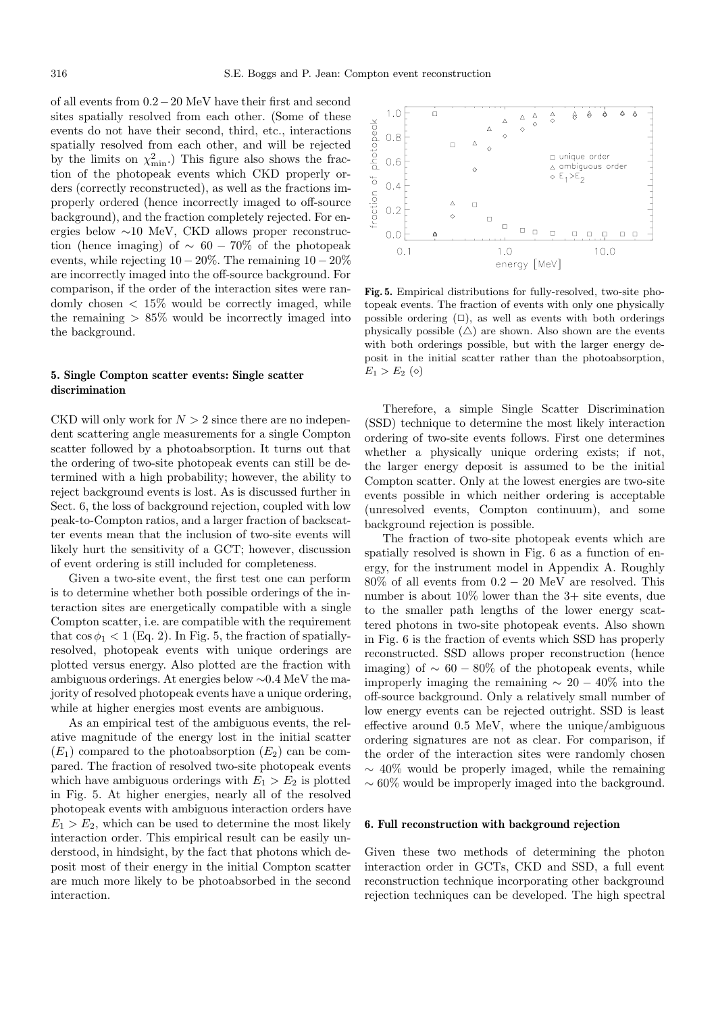of all events from 0.2−20 MeV have their first and second sites spatially resolved from each other. (Some of these events do not have their second, third, etc., interactions spatially resolved from each other, and will be rejected by the limits on  $\chi^2_{\rm min}$ .) This figure also shows the fraction of the photopeak events which CKD properly orders (correctly reconstructed), as well as the fractions improperly ordered (hence incorrectly imaged to off-source background), and the fraction completely rejected. For energies below ∼10 MeV, CKD allows proper reconstruction (hence imaging) of  $\sim 60-70\%$  of the photopeak events, while rejecting  $10-20\%$ . The remaining  $10-20\%$ are incorrectly imaged into the off-source background. For comparison, if the order of the interaction sites were randomly chosen  $\langle 15\%$  would be correctly imaged, while the remaining  $> 85\%$  would be incorrectly imaged into the background.

# **5. Single Compton scatter events: Single scatter discrimination**

CKD will only work for  $N > 2$  since there are no independent scattering angle measurements for a single Compton scatter followed by a photoabsorption. It turns out that the ordering of two-site photopeak events can still be determined with a high probability; however, the ability to reject background events is lost. As is discussed further in Sect. 6, the loss of background rejection, coupled with low peak-to-Compton ratios, and a larger fraction of backscatter events mean that the inclusion of two-site events will likely hurt the sensitivity of a GCT; however, discussion of event ordering is still included for completeness.

Given a two-site event, the first test one can perform is to determine whether both possible orderings of the interaction sites are energetically compatible with a single Compton scatter, i.e. are compatible with the requirement that  $\cos \phi_1 < 1$  (Eq. 2). In Fig. 5, the fraction of spatiallyresolved, photopeak events with unique orderings are plotted versus energy. Also plotted are the fraction with ambiguous orderings. At energies below ∼0.4 MeV the majority of resolved photopeak events have a unique ordering, while at higher energies most events are ambiguous.

As an empirical test of the ambiguous events, the relative magnitude of the energy lost in the initial scatter  $(E_1)$  compared to the photoabsorption  $(E_2)$  can be compared. The fraction of resolved two-site photopeak events which have ambiguous orderings with  $E_1 > E_2$  is plotted in Fig. 5. At higher energies, nearly all of the resolved photopeak events with ambiguous interaction orders have  $E_1 > E_2$ , which can be used to determine the most likely interaction order. This empirical result can be easily understood, in hindsight, by the fact that photons which deposit most of their energy in the initial Compton scatter are much more likely to be photoabsorbed in the second interaction.



**Fig. 5.** Empirical distributions for fully-resolved, two-site photopeak events. The fraction of events with only one physically possible ordering  $(\Box)$ , as well as events with both orderings physically possible  $(\triangle)$  are shown. Also shown are the events with both orderings possible, but with the larger energy deposit in the initial scatter rather than the photoabsorption,  $E_1 > E_2 \; (\diamond)$ 

Therefore, a simple Single Scatter Discrimination (SSD) technique to determine the most likely interaction ordering of two-site events follows. First one determines whether a physically unique ordering exists; if not, the larger energy deposit is assumed to be the initial Compton scatter. Only at the lowest energies are two-site events possible in which neither ordering is acceptable (unresolved events, Compton continuum), and some background rejection is possible.

The fraction of two-site photopeak events which are spatially resolved is shown in Fig. 6 as a function of energy, for the instrument model in Appendix A. Roughly 80% of all events from 0.2 − 20 MeV are resolved. This number is about  $10\%$  lower than the 3+ site events, due to the smaller path lengths of the lower energy scattered photons in two-site photopeak events. Also shown in Fig. 6 is the fraction of events which SSD has properly reconstructed. SSD allows proper reconstruction (hence imaging) of  $\sim 60 - 80\%$  of the photopeak events, while improperly imaging the remaining  $\sim 20 - 40\%$  into the off-source background. Only a relatively small number of low energy events can be rejected outright. SSD is least effective around 0.5 MeV, where the unique/ambiguous ordering signatures are not as clear. For comparison, if the order of the interaction sites were randomly chosen  $\sim$  40% would be properly imaged, while the remaining ∼ 60% would be improperly imaged into the background.

## **6. Full reconstruction with background rejection**

Given these two methods of determining the photon interaction order in GCTs, CKD and SSD, a full event reconstruction technique incorporating other background rejection techniques can be developed. The high spectral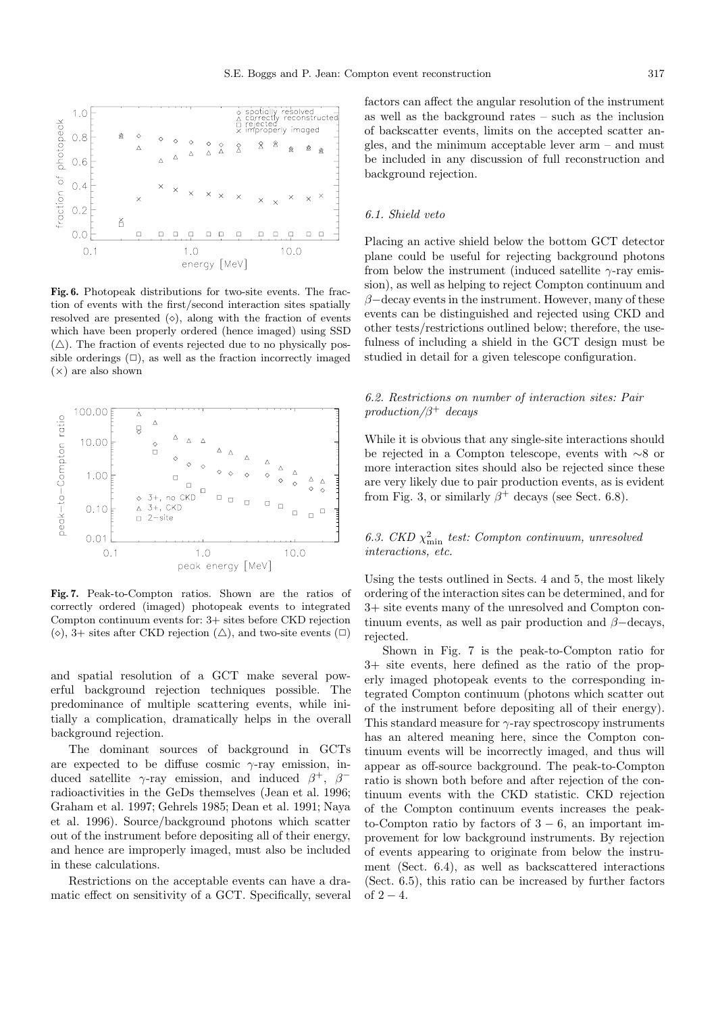

**Fig. 6.** Photopeak distributions for two-site events. The fraction of events with the first/second interaction sites spatially resolved are presented  $(\diamond)$ , along with the fraction of events which have been properly ordered (hence imaged) using SSD  $(\triangle)$ . The fraction of events rejected due to no physically possible orderings  $(\Box)$ , as well as the fraction incorrectly imaged  $(\times)$  are also shown



**Fig. 7.** Peak-to-Compton ratios. Shown are the ratios of correctly ordered (imaged) photopeak events to integrated Compton continuum events for: 3+ sites before CKD rejection  $(\diamond)$ , 3+ sites after CKD rejection  $(\triangle)$ , and two-site events  $(\square)$ 

and spatial resolution of a GCT make several powerful background rejection techniques possible. The predominance of multiple scattering events, while initially a complication, dramatically helps in the overall background rejection.

The dominant sources of background in GCTs are expected to be diffuse cosmic  $\gamma$ -ray emission, induced satellite  $\gamma$ -ray emission, and induced  $\beta^+$ ,  $\beta^$ radioactivities in the GeDs themselves (Jean et al. 1996; Graham et al. 1997; Gehrels 1985; Dean et al. 1991; Naya et al. 1996). Source/background photons which scatter out of the instrument before depositing all of their energy, and hence are improperly imaged, must also be included in these calculations.

Restrictions on the acceptable events can have a dramatic effect on sensitivity of a GCT. Specifically, several factors can affect the angular resolution of the instrument as well as the background rates – such as the inclusion of backscatter events, limits on the accepted scatter angles, and the minimum acceptable lever arm – and must be included in any discussion of full reconstruction and background rejection.

# 6.1. Shield veto

Placing an active shield below the bottom GCT detector plane could be useful for rejecting background photons from below the instrument (induced satellite  $\gamma$ -ray emission), as well as helping to reject Compton continuum and  $\beta$ −decay events in the instrument. However, many of these events can be distinguished and rejected using CKD and other tests/restrictions outlined below; therefore, the usefulness of including a shield in the GCT design must be studied in detail for a given telescope configuration.

# 6.2. Restrictions on number of interaction sites: Pair production/ $\beta^+$  decays

While it is obvious that any single-site interactions should be rejected in a Compton telescope, events with ∼8 or more interaction sites should also be rejected since these are very likely due to pair production events, as is evident from Fig. 3, or similarly  $\beta^+$  decays (see Sect. 6.8).

# 6.3. CKD  $\chi^2_{\text{min}}$  test: Compton continuum, unresolved interactions, etc.

Using the tests outlined in Sects. 4 and 5, the most likely ordering of the interaction sites can be determined, and for 3+ site events many of the unresolved and Compton continuum events, as well as pair production and  $\beta$ −decays, rejected.

Shown in Fig. 7 is the peak-to-Compton ratio for 3+ site events, here defined as the ratio of the properly imaged photopeak events to the corresponding integrated Compton continuum (photons which scatter out of the instrument before depositing all of their energy). This standard measure for  $\gamma$ -ray spectroscopy instruments has an altered meaning here, since the Compton continuum events will be incorrectly imaged, and thus will appear as off-source background. The peak-to-Compton ratio is shown both before and after rejection of the continuum events with the CKD statistic. CKD rejection of the Compton continuum events increases the peakto-Compton ratio by factors of  $3 - 6$ , an important improvement for low background instruments. By rejection of events appearing to originate from below the instrument (Sect. 6.4), as well as backscattered interactions (Sect. 6.5), this ratio can be increased by further factors of  $2 - 4$ .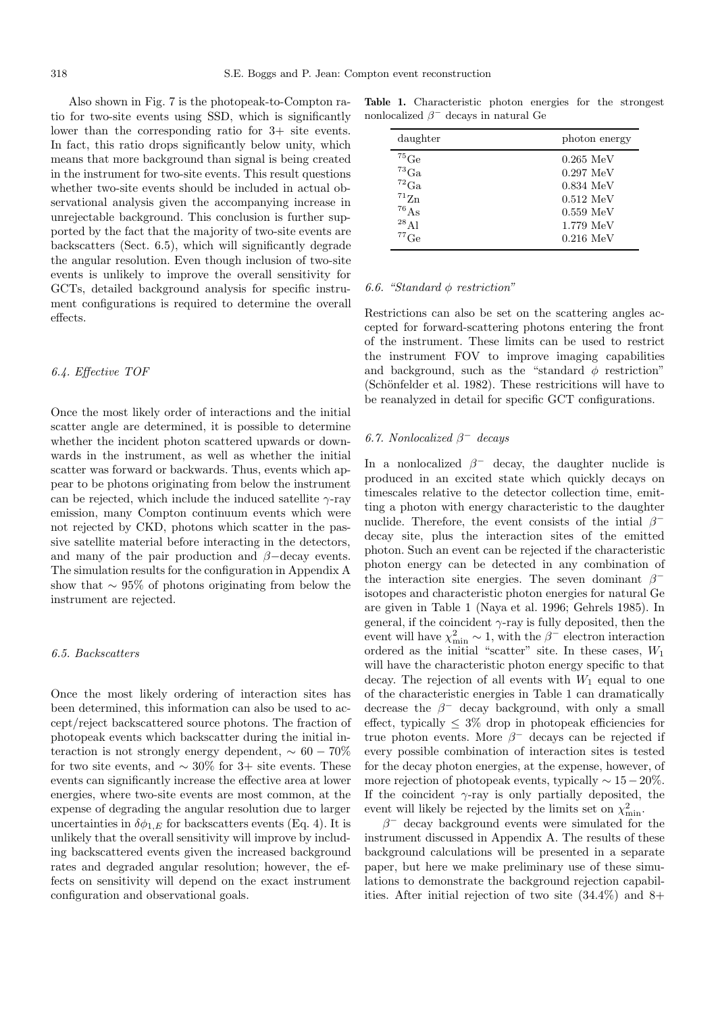Also shown in Fig. 7 is the photopeak-to-Compton ratio for two-site events using SSD, which is significantly lower than the corresponding ratio for 3+ site events. In fact, this ratio drops significantly below unity, which means that more background than signal is being created in the instrument for two-site events. This result questions whether two-site events should be included in actual observational analysis given the accompanying increase in unrejectable background. This conclusion is further supported by the fact that the majority of two-site events are backscatters (Sect. 6.5), which will significantly degrade the angular resolution. Even though inclusion of two-site events is unlikely to improve the overall sensitivity for GCTs, detailed background analysis for specific instrument configurations is required to determine the overall effects.

## 6.4. Effective TOF

Once the most likely order of interactions and the initial scatter angle are determined, it is possible to determine whether the incident photon scattered upwards or downwards in the instrument, as well as whether the initial scatter was forward or backwards. Thus, events which appear to be photons originating from below the instrument can be rejected, which include the induced satellite  $\gamma$ -ray emission, many Compton continuum events which were not rejected by CKD, photons which scatter in the passive satellite material before interacting in the detectors, and many of the pair production and  $\beta$ -decay events. The simulation results for the configuration in Appendix A show that  $\sim$  95% of photons originating from below the instrument are rejected.

#### 6.5. Backscatters

Once the most likely ordering of interaction sites has been determined, this information can also be used to accept/reject backscattered source photons. The fraction of photopeak events which backscatter during the initial interaction is not strongly energy dependent,  $\sim 60 - 70\%$ for two site events, and  $\sim 30\%$  for 3+ site events. These events can significantly increase the effective area at lower energies, where two-site events are most common, at the expense of degrading the angular resolution due to larger uncertainties in  $\delta \phi_1$  E for backscatters events (Eq. 4). It is unlikely that the overall sensitivity will improve by including backscattered events given the increased background rates and degraded angular resolution; however, the effects on sensitivity will depend on the exact instrument configuration and observational goals.

**Table 1.** Characteristic photon energies for the strongest nonlocalized  $\beta^-$  decays in natural Ge

| daughter             | photon energy |  |  |
|----------------------|---------------|--|--|
| ${}^{75}$ Ge         | $0.265$ MeV   |  |  |
| ${}^{73}Ga$          | $0.297$ MeV   |  |  |
| ${}^{72}\mathrm{Ga}$ | $0.834$ MeV   |  |  |
| ${}^{71}Zn$          | $0.512$ MeV   |  |  |
| ${}^{76}As$          | $0.559$ MeV   |  |  |
| $^{28}$ Al           | 1.779~MeV     |  |  |
| $^{77}$ Ge           | $0.216$ MeV   |  |  |

#### 6.6. "Standard  $\phi$  restriction"

Restrictions can also be set on the scattering angles accepted for forward-scattering photons entering the front of the instrument. These limits can be used to restrict the instrument FOV to improve imaging capabilities and background, such as the "standard  $\phi$  restriction" (Schönfelder et al. 1982). These restricitions will have to be reanalyzed in detail for specific GCT configurations.

## 6.7. Nonlocalized  $\beta^-$  decays

In a nonlocalized  $\beta^-$  decay, the daughter nuclide is produced in an excited state which quickly decays on timescales relative to the detector collection time, emitting a photon with energy characteristic to the daughter nuclide. Therefore, the event consists of the initial  $\beta^$ decay site, plus the interaction sites of the emitted photon. Such an event can be rejected if the characteristic photon energy can be detected in any combination of the interaction site energies. The seven dominant  $\beta^$ isotopes and characteristic photon energies for natural Ge are given in Table 1 (Naya et al. 1996; Gehrels 1985). In general, if the coincident  $\gamma$ -ray is fully deposited, then the event will have  $\chi^2_{\text{min}} \sim 1$ , with the  $\beta^-$  electron interaction ordered as the initial "scatter" site. In these cases,  $W_1$ will have the characteristic photon energy specific to that decay. The rejection of all events with  $W_1$  equal to one of the characteristic energies in Table 1 can dramatically decrease the  $\beta^-$  decay background, with only a small effect, typically  $\leq 3\%$  drop in photopeak efficiencies for true photon events. More  $\beta^-$  decays can be rejected if every possible combination of interaction sites is tested for the decay photon energies, at the expense, however, of more rejection of photopeak events, typically  $\sim 15-20\%$ . If the coincident  $\gamma$ -ray is only partially deposited, the event will likely be rejected by the limits set on  $\chi^2_{\rm min}$ .

 $\beta$ <sup>-</sup> decay background events were simulated for the instrument discussed in Appendix A. The results of these background calculations will be presented in a separate paper, but here we make preliminary use of these simulations to demonstrate the background rejection capabilities. After initial rejection of two site (34.4%) and 8+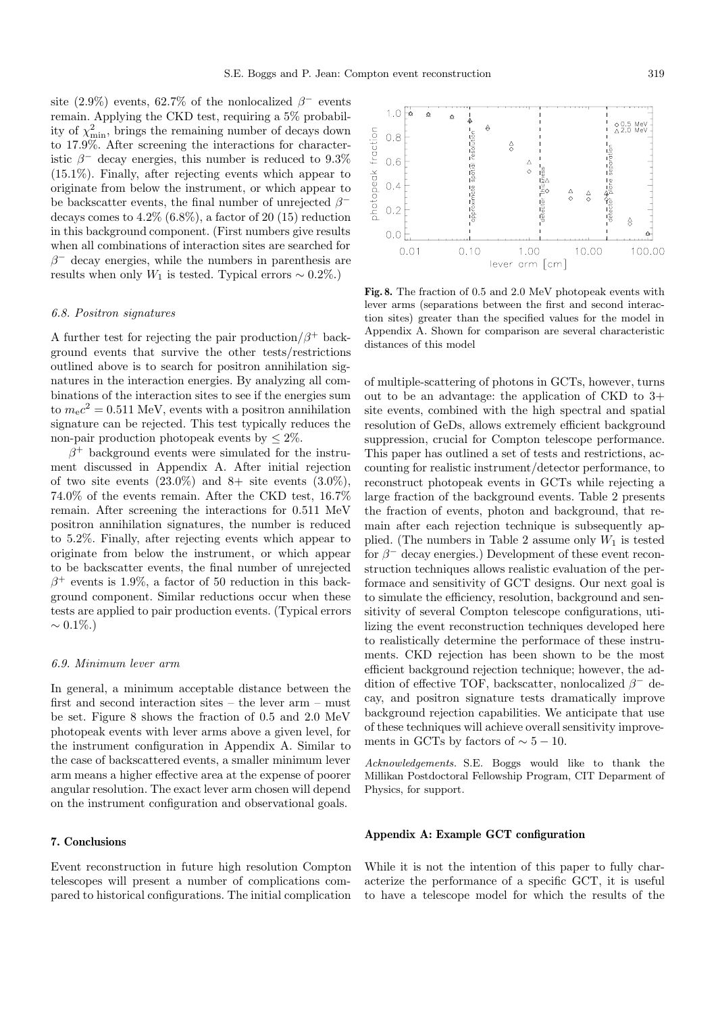site (2.9%) events, 62.7% of the nonlocalized  $\beta^-$  events remain. Applying the CKD test, requiring a 5% probability of  $\chi^2_{\rm min}$ , brings the remaining number of decays down to 17.9%. After screening the interactions for characteristic  $\beta^-$  decay energies, this number is reduced to 9.3% (15.1%). Finally, after rejecting events which appear to originate from below the instrument, or which appear to be backscatter events, the final number of unrejected  $\beta^$ decays comes to  $4.2\%$   $(6.8\%)$ , a factor of 20  $(15)$  reduction in this background component. (First numbers give results when all combinations of interaction sites are searched for  $\beta^-$  decay energies, while the numbers in parenthesis are results when only  $W_1$  is tested. Typical errors ~ 0.2%.)

#### 6.8. Positron signatures

A further test for rejecting the pair production  $\beta^+$  background events that survive the other tests/restrictions outlined above is to search for positron annihilation signatures in the interaction energies. By analyzing all combinations of the interaction sites to see if the energies sum to  $m_{\rm e}c^2 = 0.511$  MeV, events with a positron annihilation signature can be rejected. This test typically reduces the non-pair production photopeak events by  $\leq 2\%$ .

 $\beta^+$  background events were simulated for the instrument discussed in Appendix A. After initial rejection of two site events  $(23.0\%)$  and  $8+$  site events  $(3.0\%)$ , 74.0% of the events remain. After the CKD test, 16.7% remain. After screening the interactions for 0.511 MeV positron annihilation signatures, the number is reduced to 5.2%. Finally, after rejecting events which appear to originate from below the instrument, or which appear to be backscatter events, the final number of unrejected  $\beta^+$  events is 1.9%, a factor of 50 reduction in this background component. Similar reductions occur when these tests are applied to pair production events. (Typical errors  $∼ 0.1\%$ .)

#### 6.9. Minimum lever arm

In general, a minimum acceptable distance between the first and second interaction sites – the lever arm – must be set. Figure 8 shows the fraction of 0.5 and 2.0 MeV photopeak events with lever arms above a given level, for the instrument configuration in Appendix A. Similar to the case of backscattered events, a smaller minimum lever arm means a higher effective area at the expense of poorer angular resolution. The exact lever arm chosen will depend on the instrument configuration and observational goals.

## **7. Conclusions**

Event reconstruction in future high resolution Compton telescopes will present a number of complications compared to historical configurations. The initial complication



**Fig. 8.** The fraction of 0.5 and 2.0 MeV photopeak events with lever arms (separations between the first and second interaction sites) greater than the specified values for the model in Appendix A. Shown for comparison are several characteristic distances of this model

of multiple-scattering of photons in GCTs, however, turns out to be an advantage: the application of CKD to 3+ site events, combined with the high spectral and spatial resolution of GeDs, allows extremely efficient background suppression, crucial for Compton telescope performance. This paper has outlined a set of tests and restrictions, accounting for realistic instrument/detector performance, to reconstruct photopeak events in GCTs while rejecting a large fraction of the background events. Table 2 presents the fraction of events, photon and background, that remain after each rejection technique is subsequently applied. (The numbers in Table 2 assume only  $W_1$  is tested for  $\beta^-$  decay energies.) Development of these event reconstruction techniques allows realistic evaluation of the performace and sensitivity of GCT designs. Our next goal is to simulate the efficiency, resolution, background and sensitivity of several Compton telescope configurations, utilizing the event reconstruction techniques developed here to realistically determine the performace of these instruments. CKD rejection has been shown to be the most efficient background rejection technique; however, the addition of effective TOF, backscatter, nonlocalized  $\beta^-$  decay, and positron signature tests dramatically improve background rejection capabilities. We anticipate that use of these techniques will achieve overall sensitivity improvements in GCTs by factors of  $\sim 5 - 10$ .

Acknowledgements. S.E. Boggs would like to thank the Millikan Postdoctoral Fellowship Program, CIT Deparment of Physics, for support.

## **Appendix A: Example GCT configuration**

While it is not the intention of this paper to fully characterize the performance of a specific GCT, it is useful to have a telescope model for which the results of the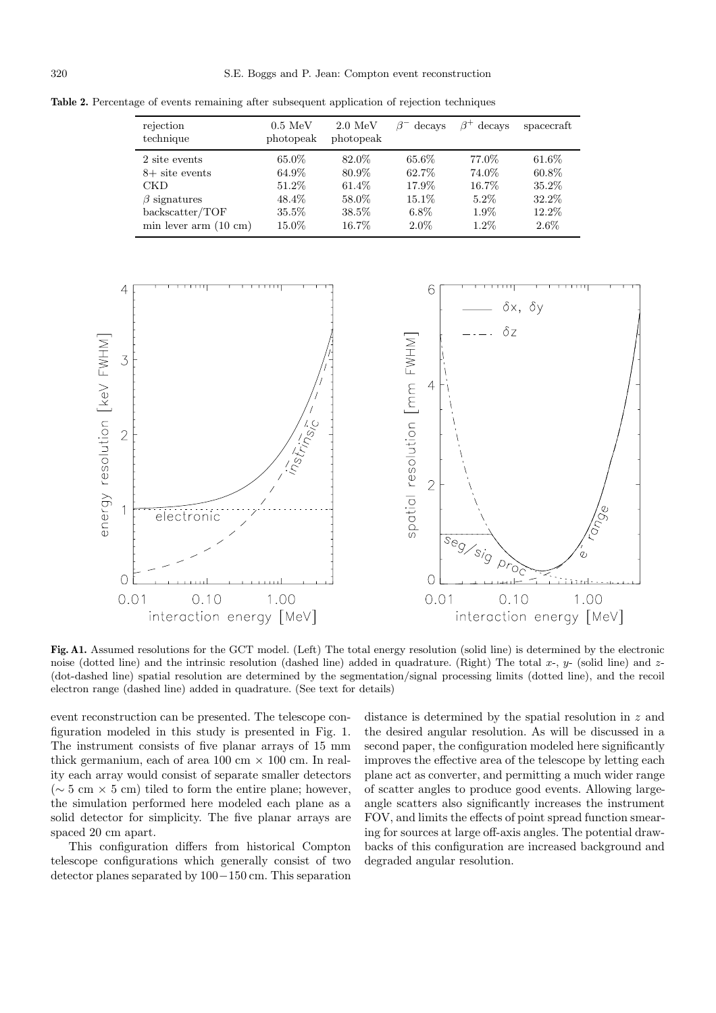Table 2. Percentage of events remaining after subsequent application of rejection techniques

| rejection<br>technique   | $0.5\;\mathrm{MeV}$<br>photopeak | $2.0\;\mathrm{MeV}$<br>photopeak | decays  | ß+<br>decays | spacecraft |
|--------------------------|----------------------------------|----------------------------------|---------|--------------|------------|
| 2 site events            | 65.0%                            | 82.0%                            | 65.6%   | 77.0%        | $61.6\%$   |
| $8+$ site events         | 64.9%                            | 80.9%                            | 62.7%   | 74.0%        | 60.8%      |
| <b>CKD</b>               | 51.2\%                           | 61.4\%                           | 17.9%   | 16.7%        | 35.2%      |
| $\beta$ signatures       | 48.4\%                           | 58.0%                            | 15.1\%  | $5.2\%$      | 32.2%      |
| backscatter/TOF          | 35.5%                            | 38.5%                            | $6.8\%$ | $1.9\%$      | 12.2%      |
| $min$ lever $arm(10 cm)$ | 15.0%                            | 16.7%                            | $2.0\%$ | $1.2\%$      | $2.6\%$    |



**Fig. A1.** Assumed resolutions for the GCT model. (Left) The total energy resolution (solid line) is determined by the electronic noise (dotted line) and the intrinsic resolution (dashed line) added in quadrature. (Right) The total  $x$ -,  $y$ - (solid line) and  $z$ -(dot-dashed line) spatial resolution are determined by the segmentation/signal processing limits (dotted line), and the recoil electron range (dashed line) added in quadrature. (See text for details)

event reconstruction can be presented. The telescope configuration modeled in this study is presented in Fig. 1. The instrument consists of five planar arrays of 15 mm thick germanium, each of area 100 cm  $\times$  100 cm. In reality each array would consist of separate smaller detectors  $({\sim} 5 \text{ cm} \times 5 \text{ cm})$  tiled to form the entire plane; however, the simulation performed here modeled each plane as a solid detector for simplicity. The five planar arrays are spaced 20 cm apart.

This configuration differs from historical Compton telescope configurations which generally consist of two detector planes separated by 100−150 cm. This separation distance is determined by the spatial resolution in z and the desired angular resolution. As will be discussed in a second paper, the configuration modeled here significantly improves the effective area of the telescope by letting each plane act as converter, and permitting a much wider range of scatter angles to produce good events. Allowing largeangle scatters also significantly increases the instrument FOV, and limits the effects of point spread function smearing for sources at large off-axis angles. The potential drawbacks of this configuration are increased background and degraded angular resolution.